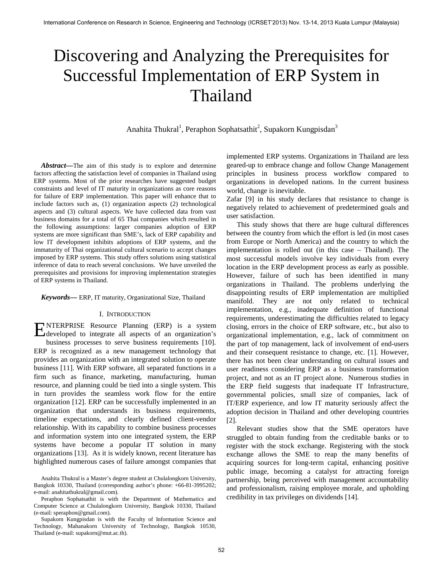# Discovering and Analyzing the Prerequisites for Successful Implementation of ERP System in Thailand

Anahita Thukral<sup>1</sup>, Peraphon Sophatsathit<sup>2</sup>, Supakorn Kungpisdan<sup>3</sup>

*Abstract—*The aim of this study is to explore and determine factors affecting the satisfaction level of companies in Thailand using ERP systems. Most of the prior researches have suggested budget constraints and level of IT maturity in organizations as core reasons for failure of ERP implementation. This paper will enhance that to include factors such as, (1) organization aspects (2) technological aspects and (3) cultural aspects. We have collected data from vast business domains for a total of 65 Thai companies which resulted in the following assumptions: larger companies adoption of ERP systems are more significant than SME's, lack of ERP capability and low IT development inhibits adoptions of ERP systems, and the immaturity of Thai organizational cultural scenario to accept changes imposed by ERP systems. This study offers solutions using statistical inference of data to reach several conclusions. We have unveiled the prerequisites and provisions for improving implementation strategies of ERP systems in Thailand.

#### *Keywords—* ERP, IT maturity, Organizational Size, Thailand

# I. INTRODUCTION

NTERPRISE Resource Planning (ERP) is a system ENTERPRISE Resource Planning (ERP) is a system developed to integrate all aspects of an organization's business processes to serve business requirements [10]. ERP is recognized as a new management technology that provides an organization with an integrated solution to operate business [11]. With ERP software, all separated functions in a firm such as finance, marketing, manufacturing, human resource, and planning could be tied into a single system. This in turn provides the seamless work flow for the entire organization [12]. ERP can be successfully implemented in an organization that understands its business requirements, timeline expectations, and clearly defined client-vendor relationship. With its capability to combine business processes and information system into one integrated system, the ERP systems have become a popular IT solution in many organizations [13]. As it is widely known, recent literature has highlighted numerous cases of failure amongst companies that

implemented ERP systems. Organizations in Thailand are less geared-up to embrace change and follow Change Management principles in business process workflow compared to organizations in developed nations. In the current business world, change is inevitable.

Zafar [9] in his study declares that resistance to change is negatively related to achievement of predetermined goals and user satisfaction.

This study shows that there are huge cultural differences between the country from which the effort is led (in most cases from Europe or North America) and the country to which the implementation is rolled out (in this case – Thailand). The most successful models involve key individuals from every location in the ERP development process as early as possible. However, failure of such has been identified in many organizations in Thailand. The problems underlying the disappointing results of ERP implementation are multiplied manifold. They are not only related to technical implementation, e.g., inadequate definition of functional requirements, underestimating the difficulties related to legacy closing, errors in the choice of ERP software, etc., but also to organizational implementation, e.g., lack of commitment on the part of top management, lack of involvement of end-users and their consequent resistance to change, etc. [1]. However, there has not been clear understanding on cultural issues and user readiness considering ERP as a business transformation project, and not as an IT project alone. Numerous studies in the ERP field suggests that inadequate IT Infrastructure, governmental policies, small size of companies, lack of IT/ERP experience, and low IT maturity seriously affect the adoption decision in Thailand and other developing countries [2].

Relevant studies show that the SME operators have struggled to obtain funding from the creditable banks or to register with the stock exchange. Registering with the stock exchange allows the SME to reap the many benefits of acquiring sources for long-term capital, enhancing positive public image, becoming a catalyst for attracting foreign partnership, being perceived with management accountability and professionalism, raising employee morale, and upholding credibility in tax privileges on dividends [14].

Anahita Thukral is a Master's degree student at Chulalongkorn University, Bangkok 10330, Thailand (corresponding author's phone: +66-81-3995202; e-mail: anahitathukral@gmail.com).

Peraphon Sophatsathit is with the Department of Mathematics and Computer Science at Chulalongkorn University, Bangkok 10330, Thailand (e-mail: speraphon@gmail.com).

Supakorn Kungpisdan is with the Faculty of Information Science and Technology, Mahanakorn University of Technology, Bangkok 10530, Thailand (e-mail: supakorn@mut.ac.th).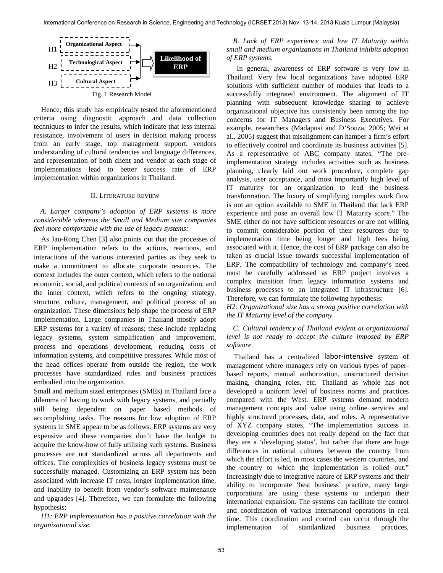

Hence, this study has empirically tested the aforementioned criteria using diagnostic approach and data collection techniques to infer the results, which indicate that less internal resistance, involvement of users in decision making process from an early stage, top management support, vendors understanding of cultural tendencies and language differences, and representation of both client and vendor at each stage of implementations lead to better success rate of ERP implementation within organizations in Thailand.

## II. LITERATURE REVIEW

# *A. Larger company's adoption of ERP systems is more considerable whereas the Small and Medium size companies feel more comfortable with the use of legacy systems:*

As Jau-Rong Chen [3] also points out that the processes of ERP implementation refers to the actions, reactions, and interactions of the various interested parties as they seek to make a commitment to allocate corporate resources. The context includes the outer context, which refers to the national economic, social, and political contexts of an organization, and the inner context, which refers to the ongoing strategy, structure, culture, management, and political process of an organization. These dimensions help shape the process of ERP implementation. Large companies in Thailand mostly adopt ERP systems for a variety of reasons; these include replacing legacy systems, system simplification and improvement, process and operations development, reducing costs of information systems, and competitive pressures. While most of the head offices operate from outside the region, the work processes have standardized rules and business practices embodied into the organization.

Small and medium sized enterprises (SMEs) in Thailand face a dilemma of having to work with legacy systems, and partially still being dependent on paper based methods of accomplishing tasks. The reasons for low adoption of ERP systems in SME appear to be as follows: ERP systems are very expensive and these companies don't have the budget to acquire the know-how of fully utilizing such systems. Business processes are not standardized across all departments and offices. The complexities of business legacy systems must be successfully managed. Customizing an ERP system has been associated with increase IT costs, longer implementation time, and inability to benefit from vendor's software maintenance and upgrades [4]. Therefore, we can formulate the following hypothesis:

*H1: ERP implementation has a positive correlation with the organizational size.*

*B. Lack of ERP experience and low IT Maturity within small and medium organizations in Thailand inhibits adoption of ERP systems.*

In general, awareness of ERP software is very low in Thailand. Very few local organizations have adopted ERP solutions with sufficient number of modules that leads to a successfully integrated environment. The alignment of IT planning with subsequent knowledge sharing to achieve organizational objective has consistently been among the top concerns for IT Managers and Business Executives. For example, researchers (Madapusi and D'Souza, 2005; Wei et al., 2005) suggest that misalignment can hamper a firm's effort to effectively control and coordinate its business activities [5]. As a representative of ABC company states, "The preimplementation strategy includes activities such as business planning, clearly laid out work procedure, complete gap analysis, user acceptance, and most importantly high level of IT maturity for an organization to lead the business transformation. The luxury of simplifying complex work flow is not an option available to SME in Thailand that lack ERP experience and pose an overall low IT Maturity score." The SME either do not have sufficient resources or are not willing to commit considerable portion of their resources due to implementation time being longer and high fees being associated with it. Hence, the cost of ERP package can also be taken as crucial issue towards successful implementation of ERP. The compatibility of technology and company's need must be carefully addressed as ERP project involves a complex transition from legacy information systems and business processes to an integrated IT infrastructure [6]. Therefore, we can formulate the following hypothesis:

*H2: Organizational size has a strong positive correlation with the IT Maturity level of the company.*

*C. Cultural tendency of Thailand evident at organizational level is not ready to accept the culture imposed by ERP software.*

Thailand has a centralized labor-intensive system of management where managers rely on various types of paperbased reports, manual authorization, unstructured decision making, changing roles, etc. Thailand as whole has not developed a uniform level of business norms and practices compared with the West. ERP systems demand modern management concepts and value using online services and highly structured processes, data, and roles. A representative of XYZ company states, "The implementation success in developing countries does not really depend on the fact that they are a 'developing status', but rather that there are huge differences in national cultures between the country from which the effort is led, in most cases the western countries, and the country to which the implementation is rolled out." Increasingly due to integrative nature of ERP systems and their ability to incorporate 'best business' practice, many large corporations are using these systems to underpin their international expansion. The systems can facilitate the control and coordination of various international operations in real time. This coordination and control can occur through the implementation of standardized business practices,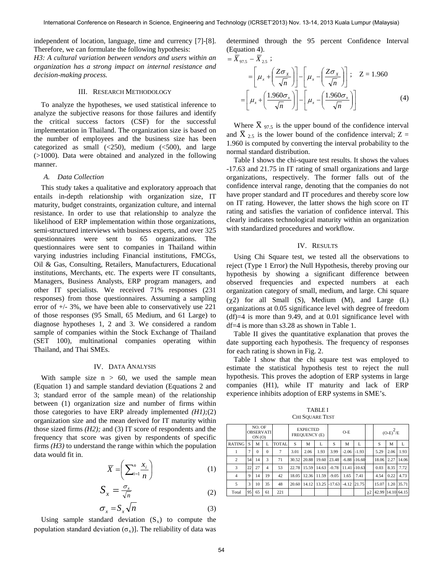independent of location, language, time and currency [7]-[8]. Therefore, we can formulate the following hypothesis:

*H3: A cultural variation between vendors and users within an organization has a strong impact on internal resistance and decision-making process.*

# III. RESEARCH METHODOLOGY

To analyze the hypotheses, we used statistical inference to analyze the subjective reasons for those failures and identify the critical success factors (CSF) for the successful implementation in Thailand. The organization size is based on the number of employees and the business size has been categorized as small  $\left( \langle 250 \rangle \right)$ , medium  $\left( \langle 500 \rangle \right)$ , and large (>1000). Data were obtained and analyzed in the following manner.

#### *A. Data Collection*

This study takes a qualitative and exploratory approach that entails in-depth relationship with organization size, IT maturity, budget constraints, organization culture, and internal resistance. In order to use that relationship to analyze the likelihood of ERP implementation within those organizations, semi-structured interviews with business experts, and over 325 questionnaires were sent to 65 organizations. The questionnaires were sent to companies in Thailand within varying industries including Financial institutions, FMCGs, Oil & Gas, Consulting, Retailers, Manufacturers, Educational institutions, Merchants, etc. The experts were IT consultants, Managers, Business Analysts, ERP program managers, and other IT specialists. We received 71% responses (231 responses) from those questionnaires. Assuming a sampling error of +/- 3%, we have been able to conservatively use 221 of those responses (95 Small, 65 Medium, and 61 Large) to diagnose hypotheses 1, 2 and 3. We considered a random sample of companies within the Stock Exchange of Thailand (SET 100), multinational companies operating within Thailand, and Thai SMEs.

## IV. DATA ANALYSIS

With sample size  $n > 60$ , we used the sample mean (Equation 1) and sample standard deviation (Equations 2 and 3; standard error of the sample mean) of the relationship between (1) organization size and number of firms within those categories to have ERP already implemented *(H1);*(2) organization size and the mean derived for IT maturity within those sized firms *(H2);* and (3) IT score of respondents and the frequency that score was given by respondents of specific firms *(H3)* to understand the range within which the population data would fit in.

$$
\overline{X} = \left(\sum_{i=1}^{n} \frac{x_i}{n}\right) \tag{1}
$$

$$
S_x = \frac{\sigma_x}{\sqrt{n}}\tag{2}
$$

$$
\sigma_x = S_x \sqrt{n} \tag{3}
$$

Using sample standard deviation  $(S_x)$  to compute the population standard deviation  $(\sigma_x)$ ]. The reliability of data was

determined through the 95 percent Confidence Interval (Equation 4).

$$
= \overline{X}_{97.5} - \overline{X}_{2.5} ;
$$
  
\n
$$
= \left[ \mu_x + \left( \frac{Z \sigma_x}{\sqrt{n}} \right) \right] - \left[ \mu_x - \left( \frac{Z \sigma_x}{\sqrt{n}} \right) \right] ; \quad Z = 1.960
$$
  
\n
$$
= \left[ \mu_x + \left( \frac{1.960 \sigma_x}{\sqrt{n}} \right) \right] - \left[ \mu_x - \left( \frac{1.960 \sigma_x}{\sqrt{n}} \right) \right]
$$
(4)

Where  $X_{.97.5}$  is the upper bound of the confidence interval and X  $_{2.5}$  is the lower bound of the confidence interval; Z = 1.960 is computed by converting the interval probability to the normal standard distribution.

Table I shows the chi-square test results. It shows the values -17.63 and 21.75 in IT rating of small organizations and large organizations, respectively. The former falls out of the confidence interval range, denoting that the companies do not have proper standard and IT procedures and thereby score low on IT rating. However, the latter shows the high score on IT rating and satisfies the variation of confidence interval. This clearly indicates technological maturity within an organization with standardized procedures and workflow.

#### IV. RESULTS

Using Chi Square test, we tested all the observations to reject (Type 1 Error) the Null Hypothesis, thereby proving our hypothesis by showing a significant difference between observed frequencies and expected numbers at each organization category of small, medium, and large. Chi square  $(\gamma 2)$  for all Small (S), Medium (M), and Large (L) organizations at 0.05 significance level with degree of freedom  $(df)=4$  is more than 9.49, and at 0.01 significance level with df=4 is more than s3.28 as shown in Table 1.

Table II gives the quantitative explanation that proves the date supporting each hypothesis. The frequency of responses for each rating is shown in Fig. 2.

Table I show that the chi square test was employed to estimate the statistical hypothesis test to reject the null hypothesis. This proves the adoption of ERP systems in large companies (H1), while IT maturity and lack of ERP experience inhibits adoption of ERP systems in SME's.

TABLE I CHI SOUARE TEST

|               | NO. OF<br><b>OBSERVATI</b><br>ON(0) |          |                |              | <b>EXPECTED</b><br><b>FREQUENCY (E)</b> |       |       | $O-E$    |         |          |                     | $(O-E)^{-}/E$     |      |       |
|---------------|-------------------------------------|----------|----------------|--------------|-----------------------------------------|-------|-------|----------|---------|----------|---------------------|-------------------|------|-------|
| <b>RATING</b> | S                                   | M        | L              | <b>TOTAL</b> | S                                       | M     |       | S        | M       | L        |                     | S                 | M    | L     |
|               | 7                                   | $\Omega$ | $\Omega$       | 7            | 3.01                                    | 2.06  | 1.93  | 3.99     | $-2.06$ | $-1.93$  |                     | 5.29              | 2.06 | 1.93  |
| 2             | 54                                  | 14       | 3              | 71           | 30.52                                   | 20.88 | 19.60 | 23.48    | $-6.88$ | $-16,60$ |                     | 18.06             | 2.27 | 14.06 |
| 3             | 22                                  | 27       | $\overline{4}$ | 53           | 22.78                                   | 15.59 | 14.63 | $-0.78$  | 11.41   | $-10.63$ |                     | 0.03              | 8.35 | 7.72  |
| 4             | 9                                   | 14       | 19             | 42           | 18.05                                   | 12.36 | 11.59 | $-9.05$  | 1.65    | 7.41     |                     | 4.54              | 0.22 | 4.73  |
| 5             | 3                                   | 10       | 35             | 48           | 20.60                                   | 14.12 | 13.25 | $-17.63$ | $-4.12$ | 21.75    |                     | 15.07             | 1.20 | 35.71 |
| Total         | 95                                  | 65       | 61             | 221          |                                         |       |       |          |         |          | $\chi$ <sub>2</sub> | 42.99 14.10 64.15 |      |       |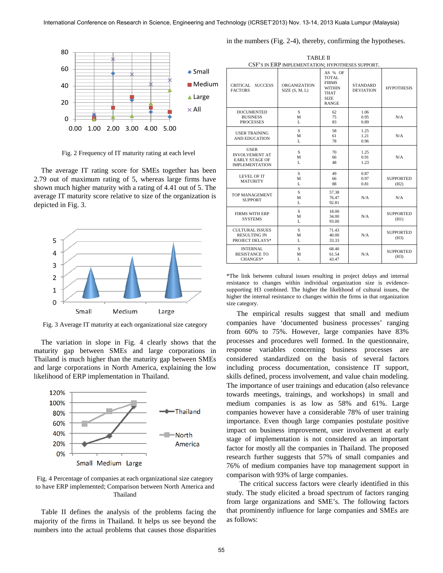

Fig. 2 Frequency of IT maturity rating at each level

The average IT rating score for SMEs together has been 2.79 out of maximum rating of 5, whereas large firms have shown much higher maturity with a rating of 4.41 out of 5. The average IT maturity score relative to size of the organization is depicted in Fig. 3.



Fig. 3 Average IT maturity at each organizational size category

The variation in slope in Fig. 4 clearly shows that the maturity gap between SMEs and large corporations in Thailand is much higher than the maturity gap between SMEs and large corporations in North America, explaining the low likelihood of ERP implementation in Thailand.



Fig. 4 Percentage of companies at each organizational size category to have ERP implemented; Comparison between North America and Thailand

Table II defines the analysis of the problems facing the majority of the firms in Thailand. It helps us see beyond the numbers into the actual problems that causes those disparities

| CSF'S IN ERP IMPLEMENTATION; HYPOTHESES SUPPORT.                                       |                                      |                                                                                                        |                                     |                          |  |  |  |  |  |  |
|----------------------------------------------------------------------------------------|--------------------------------------|--------------------------------------------------------------------------------------------------------|-------------------------------------|--------------------------|--|--|--|--|--|--|
| <b>SUCCESS</b><br><b>CRITICAL</b><br><b>FACTORS</b>                                    | <b>ORGANIZATION</b><br>SIZE(S, M, L) | AS % OF<br><b>TOTAL</b><br><b>FIRMS</b><br><b>WITHIN</b><br><b>THAT</b><br><b>SIZE</b><br><b>RANGE</b> | <b>STANDARD</b><br><b>DEVIATION</b> | <b>HYPOTHESIS</b>        |  |  |  |  |  |  |
| <b>DOCUMENTED</b><br><b>BUSINESS</b><br><b>PROCESSES</b>                               | S<br>M<br>L                          | 62<br>75<br>83                                                                                         | 1.06<br>0.95<br>0.89                | N/A                      |  |  |  |  |  |  |
| <b>USER TRAINING</b><br><b>AND EDUCATION</b>                                           | S<br>M<br>L                          | 58<br>61<br>78                                                                                         | 1.25<br>1.21<br>0.96                | N/A                      |  |  |  |  |  |  |
| <b>USER</b><br><b>INVOLVEMENT AT</b><br><b>EARLY STAGE OF</b><br><b>IMPLEMENTATION</b> | S<br>М<br>L                          | 70<br>66<br>48                                                                                         | 1.25<br>0.91<br>1.23                | N/A                      |  |  |  |  |  |  |
| <b>LEVEL OF IT</b><br><b>MATURITY</b>                                                  | S<br>М<br>L                          | 49<br>66<br>88                                                                                         | 0.87<br>0.97<br>0.81                | <b>SUPPORTED</b><br>(H2) |  |  |  |  |  |  |
| TOP MANAGEMENT<br><b>SUPPORT</b>                                                       | S<br>M<br>L                          | 57.38<br>76.47<br>92.81                                                                                | N/A                                 | N/A                      |  |  |  |  |  |  |
| <b>FIRMS WITH ERP</b><br><b>SYSTEMS</b>                                                | S<br>M<br>L                          | 18.00<br>34.00<br>93.00                                                                                | N/A                                 | <b>SUPPORTED</b><br>(H1) |  |  |  |  |  |  |
| <b>CULTURAL ISSUES</b><br><b>RESULTING IN</b><br>PROJECT DELAYS*                       | S<br>М<br>L                          | 71.43<br>40.00<br>33.33                                                                                | N/A                                 | <b>SUPPORTED</b><br>(H3) |  |  |  |  |  |  |
| <b>INTERNAL</b><br><b>RESISTANCE TO</b><br>CHANGES*                                    | S<br>М<br>L                          | 68.40<br>61.54<br>43.47                                                                                | N/A                                 | <b>SUPPORTED</b><br>(H3) |  |  |  |  |  |  |

\*The link between cultural issues resulting in project delays and internal resistance to changes within individual organization size is evidencesupporting H3 combined. The higher the likelihood of cultural issues, the higher the internal resistance to changes within the firms in that organization size category.

The empirical results suggest that small and medium companies have 'documented business processes' ranging from 60% to 75%. However, large companies have 83% processes and procedures well formed. In the questionnaire, response variables concerning business processes are considered standardized on the basis of several factors including process documentation, consistence IT support, skills defined, process involvement, and value chain modeling. The importance of user trainings and education (also relevance towards meetings, trainings, and workshops) in small and medium companies is as low as 58% and 61%. Large companies however have a considerable 78% of user training importance. Even though large companies postulate positive impact on business improvement, user involvement at early stage of implementation is not considered as an important factor for mostly all the companies in Thailand. The proposed research further suggests that 57% of small companies and 76% of medium companies have top management support in comparison with 93% of large companies.

The critical success factors were clearly identified in this study. The study elicited a broad spectrum of factors ranging from large organizations and SME's. The following factors that prominently influence for large companies and SMEs are as follows:

TABLE II

in the numbers (Fig. 2-4), thereby, confirming the hypotheses.